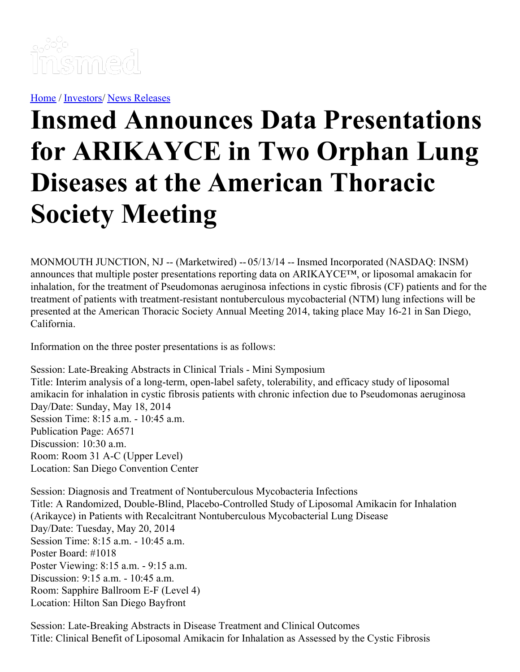

[Home](https://insmed.com/) / [Investors](https://investor.insmed.com/index)/ News [Releases](https://investor.insmed.com/releases)

## **Insmed Announces Data Presentations for ARIKAYCE in Two Orphan Lung Diseases at the American Thoracic Society Meeting**

MONMOUTH JUNCTION, NJ -- (Marketwired) -- 05/13/14 -- Insmed Incorporated (NASDAQ: INSM) announces that multiple poster presentations reporting data on ARIKAYCE™, or liposomal amakacin for inhalation, for the treatment of Pseudomonas aeruginosa infections in cystic fibrosis (CF) patients and for the treatment of patients with treatment-resistant nontuberculous mycobacterial (NTM) lung infections will be presented at the American Thoracic Society Annual Meeting 2014, taking place May 16-21 in San Diego, California.

Information on the three poster presentations is as follows:

Session: Late-Breaking Abstracts in Clinical Trials - Mini Symposium Title: Interim analysis of a long-term, open-label safety, tolerability, and efficacy study of liposomal amikacin for inhalation in cystic fibrosis patients with chronic infection due to Pseudomonas aeruginosa Day/Date: Sunday, May 18, 2014 Session Time: 8:15 a.m. - 10:45 a.m. Publication Page: A6571 Discussion: 10:30 a.m. Room: Room 31 A-C (Upper Level) Location: San Diego Convention Center

Session: Diagnosis and Treatment of Nontuberculous Mycobacteria Infections Title: A Randomized, Double-Blind, Placebo-Controlled Study of Liposomal Amikacin for Inhalation (Arikayce) in Patients with Recalcitrant Nontuberculous Mycobacterial Lung Disease Day/Date: Tuesday, May 20, 2014 Session Time: 8:15 a.m. - 10:45 a.m. Poster Board: #1018 Poster Viewing: 8:15 a.m. - 9:15 a.m. Discussion: 9:15 a.m. - 10:45 a.m. Room: Sapphire Ballroom E-F (Level 4) Location: Hilton San Diego Bayfront

Session: Late-Breaking Abstracts in Disease Treatment and Clinical Outcomes Title: Clinical Benefit of Liposomal Amikacin for Inhalation as Assessed by the Cystic Fibrosis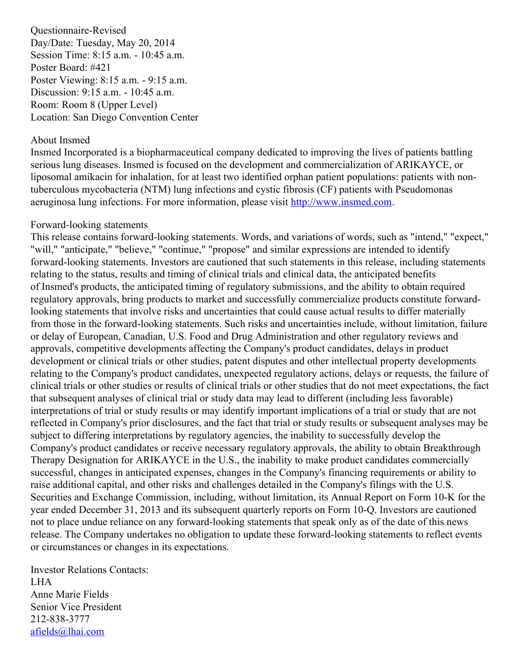Questionnaire-Revised Day/Date: Tuesday, May 20, 2014 Session Time: 8:15 a.m. - 10:45 a.m. Poster Board: #421 Poster Viewing: 8:15 a.m. - 9:15 a.m. Discussion: 9:15 a.m. - 10:45 a.m. Room: Room 8 (Upper Level) Location: San Diego Convention Center

## About Insmed

Insmed Incorporated is a biopharmaceutical company dedicated to improving the lives of patients battling serious lung diseases. Insmed is focused on the development and commercialization of ARIKAYCE, or liposomal amikacin for inhalation, for at least two identified orphan patient populations: patients with nontuberculous mycobacteria (NTM) lung infections and cystic fibrosis (CF) patients with Pseudomonas aeruginosa lung infections. For more information, please visit [http://www.insmed.com](http://www.insmed.com/).

## Forward-looking statements

This release contains forward-looking statements. Words, and variations of words, such as "intend," "expect," "will," "anticipate," "believe," "continue," "propose" and similar expressions are intended to identify forward-looking statements. Investors are cautioned that such statements in this release, including statements relating to the status, results and timing of clinical trials and clinical data, the anticipated benefits of Insmed's products, the anticipated timing of regulatory submissions, and the ability to obtain required regulatory approvals, bring products to market and successfully commercialize products constitute forwardlooking statements that involve risks and uncertainties that could cause actual results to differ materially from those in the forward-looking statements. Such risks and uncertainties include, without limitation, failure or delay of European, Canadian, U.S. Food and Drug Administration and other regulatory reviews and approvals, competitive developments affecting the Company's product candidates, delays in product development or clinical trials or other studies, patent disputes and other intellectual property developments relating to the Company's product candidates, unexpected regulatory actions, delays or requests, the failure of clinical trials or other studies or results of clinical trials or other studies that do not meet expectations, the fact that subsequent analyses of clinical trial or study data may lead to different (including less favorable) interpretations of trial or study results or may identify important implications of a trial or study that are not reflected in Company's prior disclosures, and the fact that trial or study results or subsequent analyses may be subject to differing interpretations by regulatory agencies, the inability to successfully develop the Company's product candidates or receive necessary regulatory approvals, the ability to obtain Breakthrough Therapy Designation for ARIKAYCE in the U.S., the inability to make product candidates commercially successful, changes in anticipated expenses, changes in the Company's financing requirements or ability to raise additional capital, and other risks and challenges detailed in the Company's filings with the U.S. Securities and Exchange Commission, including, without limitation, its Annual Report on Form 10-K for the year ended December 31, 2013 and its subsequent quarterly reports on Form 10-Q. Investors are cautioned not to place undue reliance on any forward-looking statements that speak only as of the date of this news release. The Company undertakes no obligation to update these forward-looking statements to reflect events or circumstances or changes in its expectations.

Investor Relations Contacts: LHA Anne Marie Fields Senior Vice President 212-838-3777 [afields@lhai.com](mailto:afields@lhai.com)